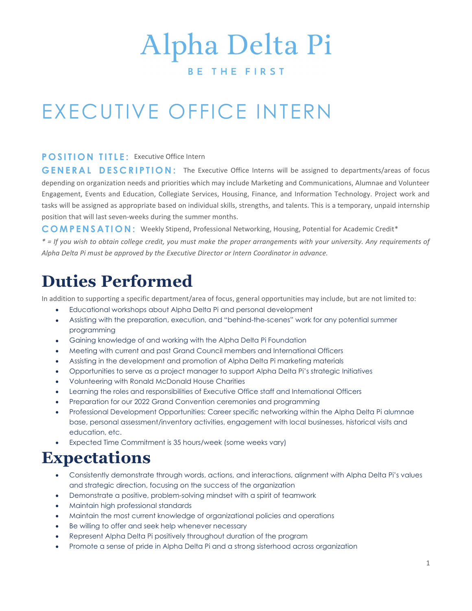# Alpha Delta Pi

#### **BETHEFIRST**

# EXECUTIVE OFFICE INTERN

#### POSITION TITLE: Executive Office Intern

GENERAL DESCRIPTION: The Executive Office Interns will be assigned to departments/areas of focus depending on organization needs and priorities which may include Marketing and Communications, Alumnae and Volunteer Engagement, Events and Education, Collegiate Services, Housing, Finance, and Information Technology. Project work and tasks will be assigned as appropriate based on individual skills, strengths, and talents. This is a temporary, unpaid internship position that will last seven-weeks during the summer months.

C O M P E N S A T I O N : Weekly Stipend, Professional Networking, Housing, Potential for Academic Credit\*

\* = If you wish to obtain college credit, you must make the proper arrangements with your university. Any requirements of Alpha Delta Pi must be approved by the Executive Director or Intern Coordinator in advance.

## Duties Performed

In addition to supporting a specific department/area of focus, general opportunities may include, but are not limited to:

- Educational workshops about Alpha Delta Pi and personal development
- Assisting with the preparation, execution, and "behind-the-scenes" work for any potential summer programming
- Gaining knowledge of and working with the Alpha Delta Pi Foundation
- Meeting with current and past Grand Council members and International Officers
- Assisting in the development and promotion of Alpha Delta Pi marketing materials
- Opportunities to serve as a project manager to support Alpha Delta Pi's strategic Initiatives
- Volunteering with Ronald McDonald House Charities
- Learning the roles and responsibilities of Executive Office staff and International Officers
- Preparation for our 2022 Grand Convention ceremonies and programming
- Professional Development Opportunities: Career specific networking within the Alpha Delta Pi alumnae base, personal assessment/inventory activities, engagement with local businesses, historical visits and education, etc.
- Expected Time Commitment is 35 hours/week (some weeks vary)

### Expectations

- Consistently demonstrate through words, actions, and interactions, alignment with Alpha Delta Pi's values and strategic direction, focusing on the success of the organization
- Demonstrate a positive, problem-solving mindset with a spirit of teamwork
- Maintain high professional standards
- Maintain the most current knowledge of organizational policies and operations
- Be willing to offer and seek help whenever necessary
- Represent Alpha Delta Pi positively throughout duration of the program
- Promote a sense of pride in Alpha Delta Pi and a strong sisterhood across organization